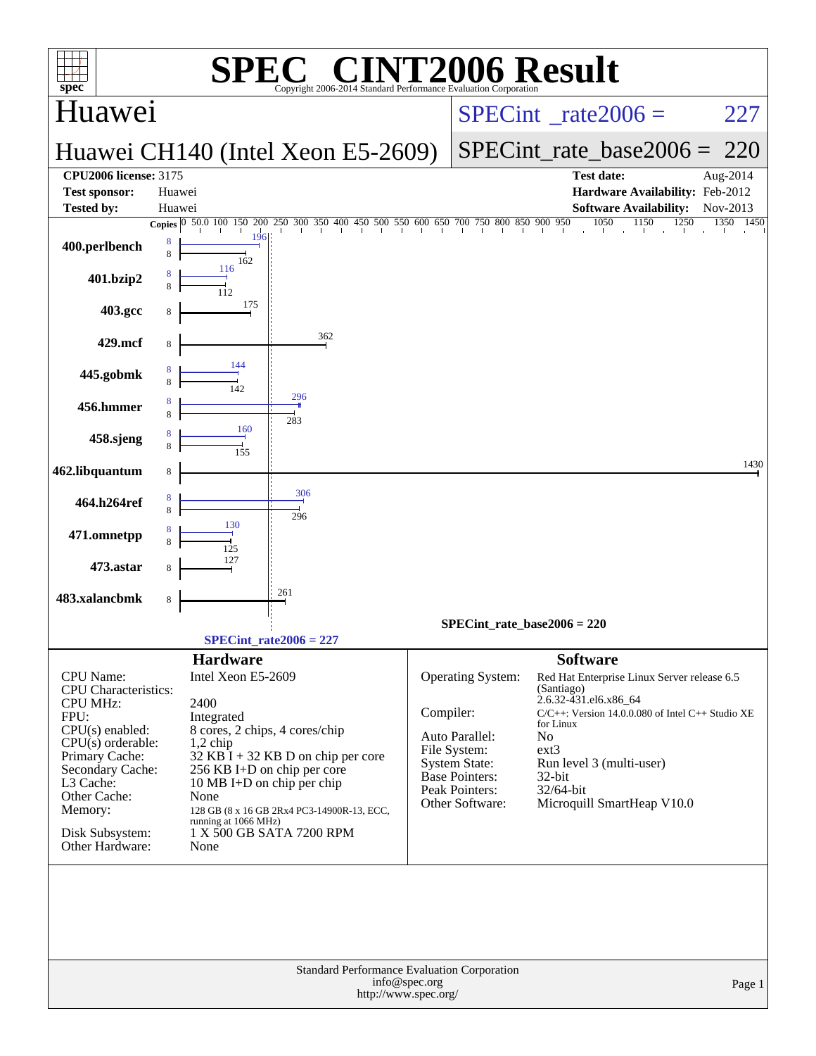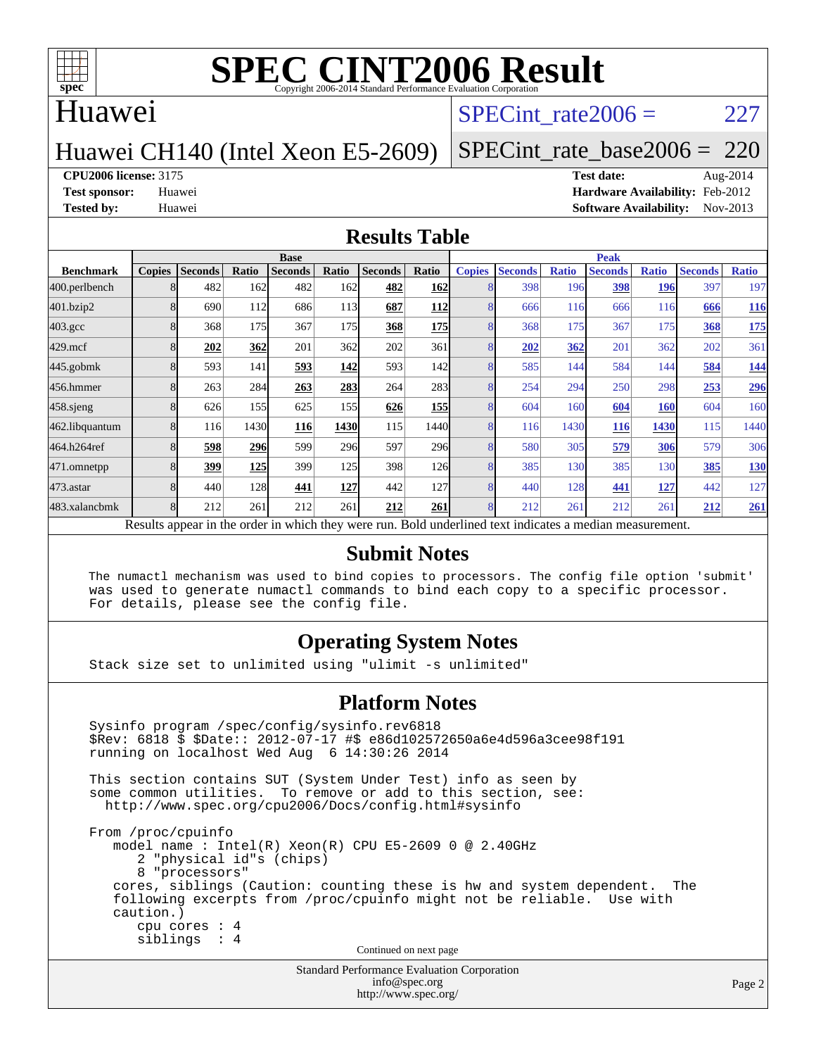

#### Huawei

#### SPECint rate $2006 = 227$

#### Huawei CH140 (Intel Xeon E5-2609)

### [SPECint\\_rate\\_base2006 =](http://www.spec.org/auto/cpu2006/Docs/result-fields.html#SPECintratebase2006) 220

#### **[CPU2006 license:](http://www.spec.org/auto/cpu2006/Docs/result-fields.html#CPU2006license)** 3175 **[Test date:](http://www.spec.org/auto/cpu2006/Docs/result-fields.html#Testdate)** Aug-2014

**[Test sponsor:](http://www.spec.org/auto/cpu2006/Docs/result-fields.html#Testsponsor)** Huawei **[Hardware Availability:](http://www.spec.org/auto/cpu2006/Docs/result-fields.html#HardwareAvailability)** Feb-2012 **[Tested by:](http://www.spec.org/auto/cpu2006/Docs/result-fields.html#Testedby)** Huawei **[Software Availability:](http://www.spec.org/auto/cpu2006/Docs/result-fields.html#SoftwareAvailability)** Nov-2013

#### **[Results Table](http://www.spec.org/auto/cpu2006/Docs/result-fields.html#ResultsTable)**

|                    | <b>Base</b>   |                |       |                                                                                                          |       |                |            | <b>Peak</b>   |                |              |                |              |                |              |
|--------------------|---------------|----------------|-------|----------------------------------------------------------------------------------------------------------|-------|----------------|------------|---------------|----------------|--------------|----------------|--------------|----------------|--------------|
| <b>Benchmark</b>   | <b>Copies</b> | <b>Seconds</b> | Ratio | <b>Seconds</b>                                                                                           | Ratio | <b>Seconds</b> | Ratio      | <b>Copies</b> | <b>Seconds</b> | <b>Ratio</b> | <b>Seconds</b> | <b>Ratio</b> | <b>Seconds</b> | <b>Ratio</b> |
| 400.perlbench      | 8             | 482            | 162   | 482                                                                                                      | 162   | 482            | 162        |               | 398            | 196          | 398            | 196          | 397            | 197          |
| 401.bzip2          | 8             | 690            | 112   | 686                                                                                                      | 113   | 687            | 112        | 8             | 666            | 116          | 666            | 116          | 666            | <u>116</u>   |
| $403.\mathrm{gcc}$ | 8             | 368            | 175   | 367                                                                                                      | 175   | 368            | <b>175</b> | 8             | 368            | 175          | 367            | 175          | 368            | <b>175</b>   |
| $429$ .mcf         | 8             | 202            | 362   | 201                                                                                                      | 362   | 202            | 361        | 8             | 202            | 362          | 201            | 362          | 202            | 361          |
| $445$ .gobmk       | 8             | 593            | 141   | <u>593</u>                                                                                               | 142   | 593            | 142        | 8             | 585            | 144          | 584            | 144          | 584            | <u>144</u>   |
| 456.hmmer          | 8             | 263            | 284   | 263                                                                                                      | 283   | 264            | 283        | 8             | 254            | 294          | 250            | 298          | 253            | 296          |
| $458$ .sjeng       | 8             | 626            | 155   | 625                                                                                                      | 155I  | 626            | <b>155</b> | 8             | 604            | 160          | 604            | <b>160</b>   | 604            | 160          |
| 462.libquantum     | 8             | 116            | 1430  | 116                                                                                                      | 1430  | 115            | 1440       | 8             | 116            | 1430         | 116            | 1430         | 115            | 1440         |
| 464.h264ref        |               | 598            | 296   | 599                                                                                                      | 296   | 597            | 296        | 8             | 580            | 305          | 579            | 306          | 579            | 306          |
| 471.omnetpp        |               | 399            | 125   | 399                                                                                                      | 125   | 398            | 126        | 8             | 385            | 130          | 385            | 130          | 385            | 130          |
| $473$ . astar      | 8             | 440            | 128   | 441                                                                                                      | 127   | 442            | <b>127</b> | 8             | 440            | 128          | 441            | 127          | 442            | 127          |
| 483.xalancbmk      | 8             | 212            | 261   | 212                                                                                                      | 261   | 212            | 261        | 8             | 212            | 261          | 212            | 261          | 212            | 261          |
|                    |               |                |       | Results appear in the order in which they were run. Bold underlined text indicates a median measurement. |       |                |            |               |                |              |                |              |                |              |

#### **[Submit Notes](http://www.spec.org/auto/cpu2006/Docs/result-fields.html#SubmitNotes)**

 The numactl mechanism was used to bind copies to processors. The config file option 'submit' was used to generate numactl commands to bind each copy to a specific processor. For details, please see the config file.

#### **[Operating System Notes](http://www.spec.org/auto/cpu2006/Docs/result-fields.html#OperatingSystemNotes)**

Stack size set to unlimited using "ulimit -s unlimited"

#### **[Platform Notes](http://www.spec.org/auto/cpu2006/Docs/result-fields.html#PlatformNotes)**

Standard Performance Evaluation Corporation Sysinfo program /spec/config/sysinfo.rev6818 \$Rev: 6818 \$ \$Date:: 2012-07-17 #\$ e86d102572650a6e4d596a3cee98f191 running on localhost Wed Aug 6 14:30:26 2014 This section contains SUT (System Under Test) info as seen by some common utilities. To remove or add to this section, see: <http://www.spec.org/cpu2006/Docs/config.html#sysinfo> From /proc/cpuinfo model name : Intel(R) Xeon(R) CPU E5-2609 0 @ 2.40GHz 2 "physical id"s (chips) 8 "processors" cores, siblings (Caution: counting these is hw and system dependent. The following excerpts from /proc/cpuinfo might not be reliable. Use with caution.) cpu cores : 4 siblings : 4 Continued on next page

[info@spec.org](mailto:info@spec.org) <http://www.spec.org/>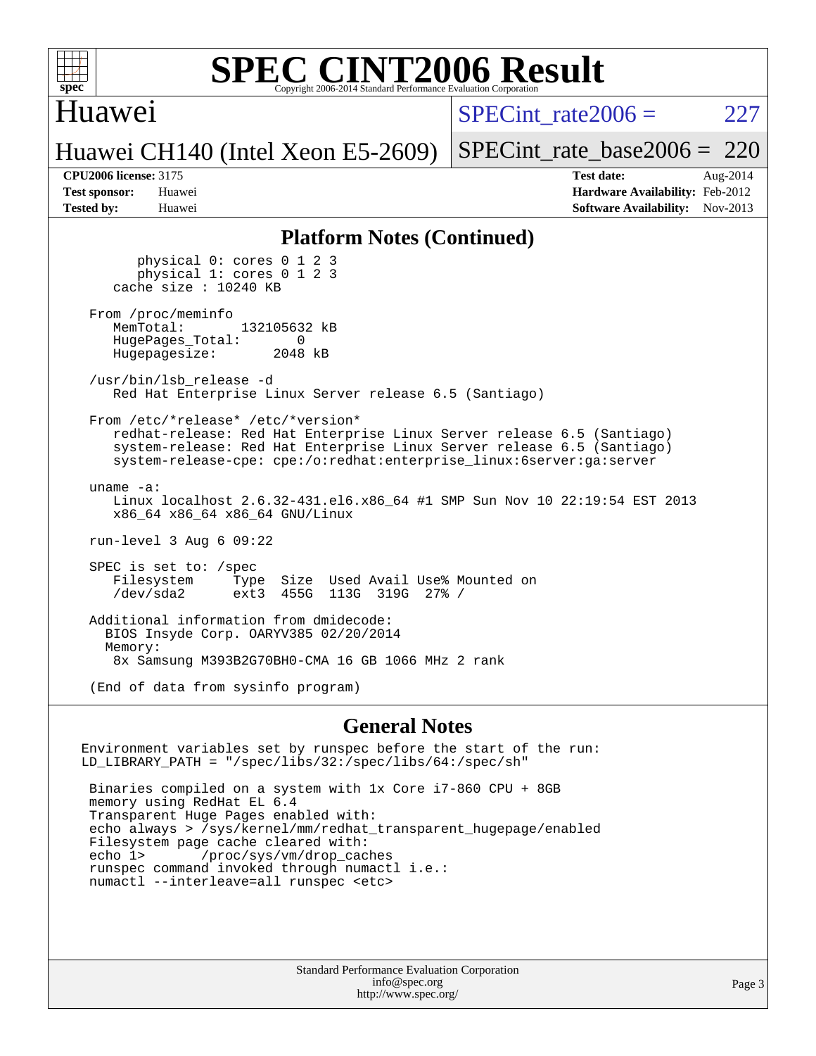

#### Huawei

SPECint rate $2006 = 227$ 

Huawei CH140 (Intel Xeon E5-2609)

[SPECint\\_rate\\_base2006 =](http://www.spec.org/auto/cpu2006/Docs/result-fields.html#SPECintratebase2006) 220

**[CPU2006 license:](http://www.spec.org/auto/cpu2006/Docs/result-fields.html#CPU2006license)** 3175 **[Test date:](http://www.spec.org/auto/cpu2006/Docs/result-fields.html#Testdate)** Aug-2014 **[Test sponsor:](http://www.spec.org/auto/cpu2006/Docs/result-fields.html#Testsponsor)** Huawei **[Hardware Availability:](http://www.spec.org/auto/cpu2006/Docs/result-fields.html#HardwareAvailability)** Feb-2012 **[Tested by:](http://www.spec.org/auto/cpu2006/Docs/result-fields.html#Testedby)** Huawei **[Software Availability:](http://www.spec.org/auto/cpu2006/Docs/result-fields.html#SoftwareAvailability)** Nov-2013

#### **[Platform Notes \(Continued\)](http://www.spec.org/auto/cpu2006/Docs/result-fields.html#PlatformNotes)**

 physical 0: cores 0 1 2 3 physical 1: cores 0 1 2 3 cache size : 10240 KB From /proc/meminfo<br>MemTotal: 132105632 kB HugePages\_Total: 0<br>Hugepagesize: 2048 kB Hugepagesize: /usr/bin/lsb\_release -d Red Hat Enterprise Linux Server release 6.5 (Santiago) From /etc/\*release\* /etc/\*version\* redhat-release: Red Hat Enterprise Linux Server release 6.5 (Santiago) system-release: Red Hat Enterprise Linux Server release 6.5 (Santiago) system-release-cpe: cpe:/o:redhat:enterprise\_linux:6server:ga:server uname -a: Linux localhost 2.6.32-431.el6.x86\_64 #1 SMP Sun Nov 10 22:19:54 EST 2013 x86\_64 x86\_64 x86\_64 GNU/Linux run-level 3 Aug 6 09:22 SPEC is set to: /spec Filesystem Type Size Used Avail Use% Mounted on<br>
/dev/sda2 ext3 455G 113G 319G 27% / /dev/sda2 ext3 455G 113G 319G 27% / Additional information from dmidecode: BIOS Insyde Corp. OARYV385 02/20/2014 Memory: 8x Samsung M393B2G70BH0-CMA 16 GB 1066 MHz 2 rank (End of data from sysinfo program)

#### **[General Notes](http://www.spec.org/auto/cpu2006/Docs/result-fields.html#GeneralNotes)**

Environment variables set by runspec before the start of the run: LD\_LIBRARY\_PATH = "/spec/libs/32:/spec/libs/64:/spec/sh" Binaries compiled on a system with 1x Core i7-860 CPU + 8GB memory using RedHat EL 6.4 Transparent Huge Pages enabled with: echo always > /sys/kernel/mm/redhat\_transparent\_hugepage/enabled Filesystem page cache cleared with: echo 1> /proc/sys/vm/drop\_caches runspec command invoked through numactl i.e.: numactl --interleave=all runspec <etc>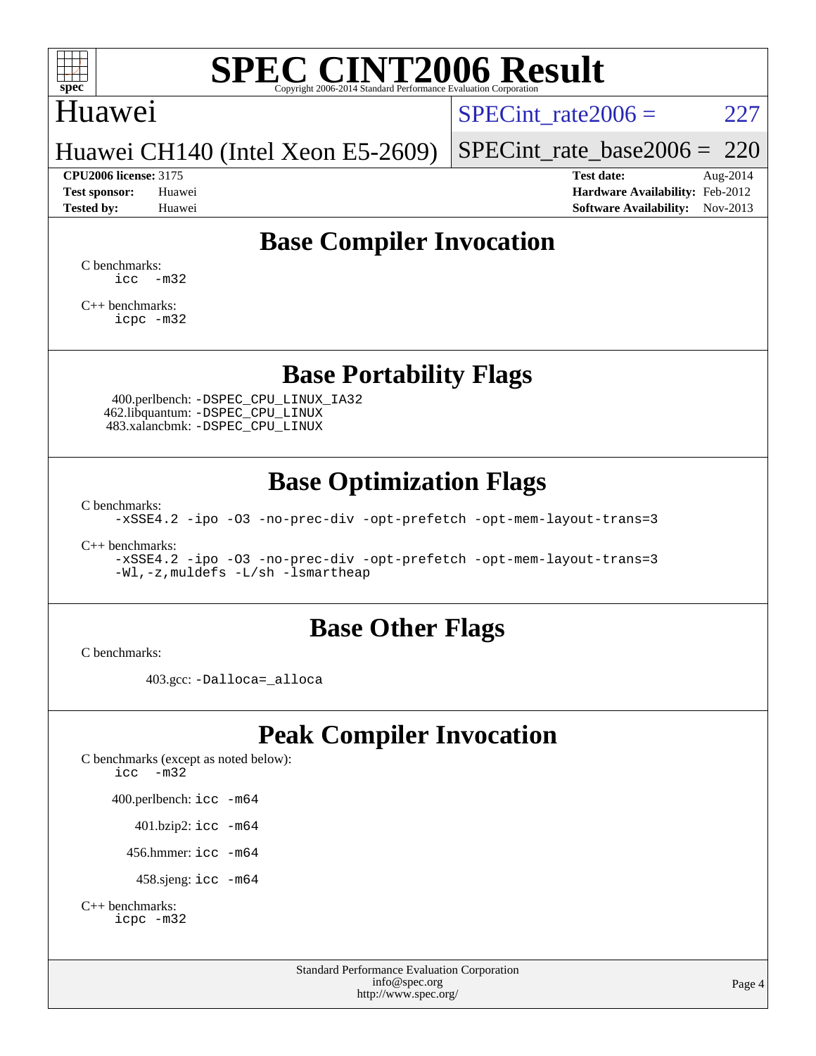

### Huawei

SPECint rate $2006 = 227$ 

Huawei CH140 (Intel Xeon E5-2609)

[SPECint\\_rate\\_base2006 =](http://www.spec.org/auto/cpu2006/Docs/result-fields.html#SPECintratebase2006) 220

**[CPU2006 license:](http://www.spec.org/auto/cpu2006/Docs/result-fields.html#CPU2006license)** 3175 **[Test date:](http://www.spec.org/auto/cpu2006/Docs/result-fields.html#Testdate)** Aug-2014 **[Test sponsor:](http://www.spec.org/auto/cpu2006/Docs/result-fields.html#Testsponsor)** Huawei **[Hardware Availability:](http://www.spec.org/auto/cpu2006/Docs/result-fields.html#HardwareAvailability)** Feb-2012 **[Tested by:](http://www.spec.org/auto/cpu2006/Docs/result-fields.html#Testedby)** Huawei **[Software Availability:](http://www.spec.org/auto/cpu2006/Docs/result-fields.html#SoftwareAvailability)** Nov-2013

### **[Base Compiler Invocation](http://www.spec.org/auto/cpu2006/Docs/result-fields.html#BaseCompilerInvocation)**

[C benchmarks](http://www.spec.org/auto/cpu2006/Docs/result-fields.html#Cbenchmarks):  $\text{icc}$   $-\text{m32}$ 

[C++ benchmarks:](http://www.spec.org/auto/cpu2006/Docs/result-fields.html#CXXbenchmarks) [icpc -m32](http://www.spec.org/cpu2006/results/res2014q3/cpu2006-20140810-30843.flags.html#user_CXXbase_intel_icpc_4e5a5ef1a53fd332b3c49e69c3330699)

#### **[Base Portability Flags](http://www.spec.org/auto/cpu2006/Docs/result-fields.html#BasePortabilityFlags)**

 400.perlbench: [-DSPEC\\_CPU\\_LINUX\\_IA32](http://www.spec.org/cpu2006/results/res2014q3/cpu2006-20140810-30843.flags.html#b400.perlbench_baseCPORTABILITY_DSPEC_CPU_LINUX_IA32) 462.libquantum: [-DSPEC\\_CPU\\_LINUX](http://www.spec.org/cpu2006/results/res2014q3/cpu2006-20140810-30843.flags.html#b462.libquantum_baseCPORTABILITY_DSPEC_CPU_LINUX) 483.xalancbmk: [-DSPEC\\_CPU\\_LINUX](http://www.spec.org/cpu2006/results/res2014q3/cpu2006-20140810-30843.flags.html#b483.xalancbmk_baseCXXPORTABILITY_DSPEC_CPU_LINUX)

### **[Base Optimization Flags](http://www.spec.org/auto/cpu2006/Docs/result-fields.html#BaseOptimizationFlags)**

[C benchmarks](http://www.spec.org/auto/cpu2006/Docs/result-fields.html#Cbenchmarks):

[-xSSE4.2](http://www.spec.org/cpu2006/results/res2014q3/cpu2006-20140810-30843.flags.html#user_CCbase_f-xSSE42_f91528193cf0b216347adb8b939d4107) [-ipo](http://www.spec.org/cpu2006/results/res2014q3/cpu2006-20140810-30843.flags.html#user_CCbase_f-ipo) [-O3](http://www.spec.org/cpu2006/results/res2014q3/cpu2006-20140810-30843.flags.html#user_CCbase_f-O3) [-no-prec-div](http://www.spec.org/cpu2006/results/res2014q3/cpu2006-20140810-30843.flags.html#user_CCbase_f-no-prec-div) [-opt-prefetch](http://www.spec.org/cpu2006/results/res2014q3/cpu2006-20140810-30843.flags.html#user_CCbase_f-opt-prefetch) [-opt-mem-layout-trans=3](http://www.spec.org/cpu2006/results/res2014q3/cpu2006-20140810-30843.flags.html#user_CCbase_f-opt-mem-layout-trans_a7b82ad4bd7abf52556d4961a2ae94d5)

[C++ benchmarks:](http://www.spec.org/auto/cpu2006/Docs/result-fields.html#CXXbenchmarks)

[-xSSE4.2](http://www.spec.org/cpu2006/results/res2014q3/cpu2006-20140810-30843.flags.html#user_CXXbase_f-xSSE42_f91528193cf0b216347adb8b939d4107) [-ipo](http://www.spec.org/cpu2006/results/res2014q3/cpu2006-20140810-30843.flags.html#user_CXXbase_f-ipo) [-O3](http://www.spec.org/cpu2006/results/res2014q3/cpu2006-20140810-30843.flags.html#user_CXXbase_f-O3) [-no-prec-div](http://www.spec.org/cpu2006/results/res2014q3/cpu2006-20140810-30843.flags.html#user_CXXbase_f-no-prec-div) [-opt-prefetch](http://www.spec.org/cpu2006/results/res2014q3/cpu2006-20140810-30843.flags.html#user_CXXbase_f-opt-prefetch) [-opt-mem-layout-trans=3](http://www.spec.org/cpu2006/results/res2014q3/cpu2006-20140810-30843.flags.html#user_CXXbase_f-opt-mem-layout-trans_a7b82ad4bd7abf52556d4961a2ae94d5) [-Wl,-z,muldefs](http://www.spec.org/cpu2006/results/res2014q3/cpu2006-20140810-30843.flags.html#user_CXXbase_link_force_multiple1_74079c344b956b9658436fd1b6dd3a8a) [-L/sh -lsmartheap](http://www.spec.org/cpu2006/results/res2014q3/cpu2006-20140810-30843.flags.html#user_CXXbase_SmartHeap_32f6c82aa1ed9c52345d30cf6e4a0499)

#### **[Base Other Flags](http://www.spec.org/auto/cpu2006/Docs/result-fields.html#BaseOtherFlags)**

[C benchmarks](http://www.spec.org/auto/cpu2006/Docs/result-fields.html#Cbenchmarks):

403.gcc: [-Dalloca=\\_alloca](http://www.spec.org/cpu2006/results/res2014q3/cpu2006-20140810-30843.flags.html#b403.gcc_baseEXTRA_CFLAGS_Dalloca_be3056838c12de2578596ca5467af7f3)

### **[Peak Compiler Invocation](http://www.spec.org/auto/cpu2006/Docs/result-fields.html#PeakCompilerInvocation)**

[C benchmarks \(except as noted below\)](http://www.spec.org/auto/cpu2006/Docs/result-fields.html#Cbenchmarksexceptasnotedbelow): [icc -m32](http://www.spec.org/cpu2006/results/res2014q3/cpu2006-20140810-30843.flags.html#user_CCpeak_intel_icc_5ff4a39e364c98233615fdd38438c6f2) 400.perlbench: [icc -m64](http://www.spec.org/cpu2006/results/res2014q3/cpu2006-20140810-30843.flags.html#user_peakCCLD400_perlbench_intel_icc_64bit_bda6cc9af1fdbb0edc3795bac97ada53) 401.bzip2: [icc -m64](http://www.spec.org/cpu2006/results/res2014q3/cpu2006-20140810-30843.flags.html#user_peakCCLD401_bzip2_intel_icc_64bit_bda6cc9af1fdbb0edc3795bac97ada53)

456.hmmer: [icc -m64](http://www.spec.org/cpu2006/results/res2014q3/cpu2006-20140810-30843.flags.html#user_peakCCLD456_hmmer_intel_icc_64bit_bda6cc9af1fdbb0edc3795bac97ada53)

458.sjeng: [icc -m64](http://www.spec.org/cpu2006/results/res2014q3/cpu2006-20140810-30843.flags.html#user_peakCCLD458_sjeng_intel_icc_64bit_bda6cc9af1fdbb0edc3795bac97ada53)

```
C++ benchmarks: 
    icpc -m32
```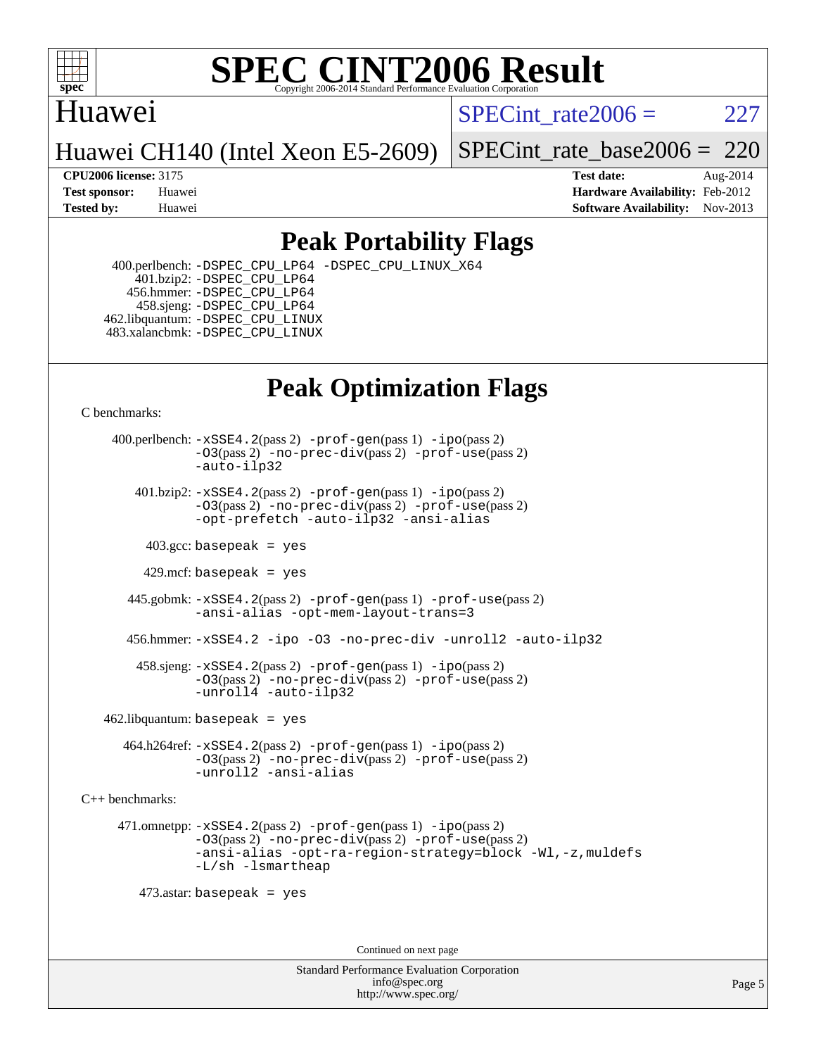

#### Huawei

SPECint rate $2006 = 227$ 

Huawei CH140 (Intel Xeon E5-2609)

[SPECint\\_rate\\_base2006 =](http://www.spec.org/auto/cpu2006/Docs/result-fields.html#SPECintratebase2006) 220

**[CPU2006 license:](http://www.spec.org/auto/cpu2006/Docs/result-fields.html#CPU2006license)** 3175 **[Test date:](http://www.spec.org/auto/cpu2006/Docs/result-fields.html#Testdate)** Aug-2014 **[Test sponsor:](http://www.spec.org/auto/cpu2006/Docs/result-fields.html#Testsponsor)** Huawei **[Hardware Availability:](http://www.spec.org/auto/cpu2006/Docs/result-fields.html#HardwareAvailability)** Feb-2012 **[Tested by:](http://www.spec.org/auto/cpu2006/Docs/result-fields.html#Testedby)** Huawei **[Software Availability:](http://www.spec.org/auto/cpu2006/Docs/result-fields.html#SoftwareAvailability)** Nov-2013

### **[Peak Portability Flags](http://www.spec.org/auto/cpu2006/Docs/result-fields.html#PeakPortabilityFlags)**

 400.perlbench: [-DSPEC\\_CPU\\_LP64](http://www.spec.org/cpu2006/results/res2014q3/cpu2006-20140810-30843.flags.html#b400.perlbench_peakCPORTABILITY_DSPEC_CPU_LP64) [-DSPEC\\_CPU\\_LINUX\\_X64](http://www.spec.org/cpu2006/results/res2014q3/cpu2006-20140810-30843.flags.html#b400.perlbench_peakCPORTABILITY_DSPEC_CPU_LINUX_X64) 401.bzip2: [-DSPEC\\_CPU\\_LP64](http://www.spec.org/cpu2006/results/res2014q3/cpu2006-20140810-30843.flags.html#suite_peakCPORTABILITY401_bzip2_DSPEC_CPU_LP64) 456.hmmer: [-DSPEC\\_CPU\\_LP64](http://www.spec.org/cpu2006/results/res2014q3/cpu2006-20140810-30843.flags.html#suite_peakCPORTABILITY456_hmmer_DSPEC_CPU_LP64) 458.sjeng: [-DSPEC\\_CPU\\_LP64](http://www.spec.org/cpu2006/results/res2014q3/cpu2006-20140810-30843.flags.html#suite_peakCPORTABILITY458_sjeng_DSPEC_CPU_LP64) 462.libquantum: [-DSPEC\\_CPU\\_LINUX](http://www.spec.org/cpu2006/results/res2014q3/cpu2006-20140810-30843.flags.html#b462.libquantum_peakCPORTABILITY_DSPEC_CPU_LINUX) 483.xalancbmk: [-DSPEC\\_CPU\\_LINUX](http://www.spec.org/cpu2006/results/res2014q3/cpu2006-20140810-30843.flags.html#b483.xalancbmk_peakCXXPORTABILITY_DSPEC_CPU_LINUX)

# **[Peak Optimization Flags](http://www.spec.org/auto/cpu2006/Docs/result-fields.html#PeakOptimizationFlags)**

[C benchmarks](http://www.spec.org/auto/cpu2006/Docs/result-fields.html#Cbenchmarks):

 400.perlbench: [-xSSE4.2](http://www.spec.org/cpu2006/results/res2014q3/cpu2006-20140810-30843.flags.html#user_peakPASS2_CFLAGSPASS2_LDCFLAGS400_perlbench_f-xSSE42_f91528193cf0b216347adb8b939d4107)(pass 2) [-prof-gen](http://www.spec.org/cpu2006/results/res2014q3/cpu2006-20140810-30843.flags.html#user_peakPASS1_CFLAGSPASS1_LDCFLAGS400_perlbench_prof_gen_e43856698f6ca7b7e442dfd80e94a8fc)(pass 1) [-ipo](http://www.spec.org/cpu2006/results/res2014q3/cpu2006-20140810-30843.flags.html#user_peakPASS2_CFLAGSPASS2_LDCFLAGS400_perlbench_f-ipo)(pass 2) [-O3](http://www.spec.org/cpu2006/results/res2014q3/cpu2006-20140810-30843.flags.html#user_peakPASS2_CFLAGSPASS2_LDCFLAGS400_perlbench_f-O3)(pass 2) [-no-prec-div](http://www.spec.org/cpu2006/results/res2014q3/cpu2006-20140810-30843.flags.html#user_peakPASS2_CFLAGSPASS2_LDCFLAGS400_perlbench_f-no-prec-div)(pass 2) [-prof-use](http://www.spec.org/cpu2006/results/res2014q3/cpu2006-20140810-30843.flags.html#user_peakPASS2_CFLAGSPASS2_LDCFLAGS400_perlbench_prof_use_bccf7792157ff70d64e32fe3e1250b55)(pass 2) [-auto-ilp32](http://www.spec.org/cpu2006/results/res2014q3/cpu2006-20140810-30843.flags.html#user_peakCOPTIMIZE400_perlbench_f-auto-ilp32)  $401.bzip2: -xSSE4.2(pass 2) -prof-qen(pass 1) -ipo(pass 2)$  $401.bzip2: -xSSE4.2(pass 2) -prof-qen(pass 1) -ipo(pass 2)$  $401.bzip2: -xSSE4.2(pass 2) -prof-qen(pass 1) -ipo(pass 2)$  $401.bzip2: -xSSE4.2(pass 2) -prof-qen(pass 1) -ipo(pass 2)$  $401.bzip2: -xSSE4.2(pass 2) -prof-qen(pass 1) -ipo(pass 2)$ [-O3](http://www.spec.org/cpu2006/results/res2014q3/cpu2006-20140810-30843.flags.html#user_peakPASS2_CFLAGSPASS2_LDCFLAGS401_bzip2_f-O3)(pass 2) [-no-prec-div](http://www.spec.org/cpu2006/results/res2014q3/cpu2006-20140810-30843.flags.html#user_peakPASS2_CFLAGSPASS2_LDCFLAGS401_bzip2_f-no-prec-div)(pass 2) [-prof-use](http://www.spec.org/cpu2006/results/res2014q3/cpu2006-20140810-30843.flags.html#user_peakPASS2_CFLAGSPASS2_LDCFLAGS401_bzip2_prof_use_bccf7792157ff70d64e32fe3e1250b55)(pass 2) [-opt-prefetch](http://www.spec.org/cpu2006/results/res2014q3/cpu2006-20140810-30843.flags.html#user_peakCOPTIMIZE401_bzip2_f-opt-prefetch) [-auto-ilp32](http://www.spec.org/cpu2006/results/res2014q3/cpu2006-20140810-30843.flags.html#user_peakCOPTIMIZE401_bzip2_f-auto-ilp32) [-ansi-alias](http://www.spec.org/cpu2006/results/res2014q3/cpu2006-20140810-30843.flags.html#user_peakCOPTIMIZE401_bzip2_f-ansi-alias)  $403.\text{sec: basepeak}$  = yes 429.mcf: basepeak = yes 445.gobmk: [-xSSE4.2](http://www.spec.org/cpu2006/results/res2014q3/cpu2006-20140810-30843.flags.html#user_peakPASS2_CFLAGSPASS2_LDCFLAGS445_gobmk_f-xSSE42_f91528193cf0b216347adb8b939d4107)(pass 2) [-prof-gen](http://www.spec.org/cpu2006/results/res2014q3/cpu2006-20140810-30843.flags.html#user_peakPASS1_CFLAGSPASS1_LDCFLAGS445_gobmk_prof_gen_e43856698f6ca7b7e442dfd80e94a8fc)(pass 1) [-prof-use](http://www.spec.org/cpu2006/results/res2014q3/cpu2006-20140810-30843.flags.html#user_peakPASS2_CFLAGSPASS2_LDCFLAGS445_gobmk_prof_use_bccf7792157ff70d64e32fe3e1250b55)(pass 2) [-ansi-alias](http://www.spec.org/cpu2006/results/res2014q3/cpu2006-20140810-30843.flags.html#user_peakCOPTIMIZE445_gobmk_f-ansi-alias) [-opt-mem-layout-trans=3](http://www.spec.org/cpu2006/results/res2014q3/cpu2006-20140810-30843.flags.html#user_peakCOPTIMIZE445_gobmk_f-opt-mem-layout-trans_a7b82ad4bd7abf52556d4961a2ae94d5) 456.hmmer: [-xSSE4.2](http://www.spec.org/cpu2006/results/res2014q3/cpu2006-20140810-30843.flags.html#user_peakCOPTIMIZE456_hmmer_f-xSSE42_f91528193cf0b216347adb8b939d4107) [-ipo](http://www.spec.org/cpu2006/results/res2014q3/cpu2006-20140810-30843.flags.html#user_peakCOPTIMIZE456_hmmer_f-ipo) [-O3](http://www.spec.org/cpu2006/results/res2014q3/cpu2006-20140810-30843.flags.html#user_peakCOPTIMIZE456_hmmer_f-O3) [-no-prec-div](http://www.spec.org/cpu2006/results/res2014q3/cpu2006-20140810-30843.flags.html#user_peakCOPTIMIZE456_hmmer_f-no-prec-div) [-unroll2](http://www.spec.org/cpu2006/results/res2014q3/cpu2006-20140810-30843.flags.html#user_peakCOPTIMIZE456_hmmer_f-unroll_784dae83bebfb236979b41d2422d7ec2) [-auto-ilp32](http://www.spec.org/cpu2006/results/res2014q3/cpu2006-20140810-30843.flags.html#user_peakCOPTIMIZE456_hmmer_f-auto-ilp32) 458.sjeng: [-xSSE4.2](http://www.spec.org/cpu2006/results/res2014q3/cpu2006-20140810-30843.flags.html#user_peakPASS2_CFLAGSPASS2_LDCFLAGS458_sjeng_f-xSSE42_f91528193cf0b216347adb8b939d4107)(pass 2) [-prof-gen](http://www.spec.org/cpu2006/results/res2014q3/cpu2006-20140810-30843.flags.html#user_peakPASS1_CFLAGSPASS1_LDCFLAGS458_sjeng_prof_gen_e43856698f6ca7b7e442dfd80e94a8fc)(pass 1) [-ipo](http://www.spec.org/cpu2006/results/res2014q3/cpu2006-20140810-30843.flags.html#user_peakPASS2_CFLAGSPASS2_LDCFLAGS458_sjeng_f-ipo)(pass 2) [-O3](http://www.spec.org/cpu2006/results/res2014q3/cpu2006-20140810-30843.flags.html#user_peakPASS2_CFLAGSPASS2_LDCFLAGS458_sjeng_f-O3)(pass 2) [-no-prec-div](http://www.spec.org/cpu2006/results/res2014q3/cpu2006-20140810-30843.flags.html#user_peakPASS2_CFLAGSPASS2_LDCFLAGS458_sjeng_f-no-prec-div)(pass 2) [-prof-use](http://www.spec.org/cpu2006/results/res2014q3/cpu2006-20140810-30843.flags.html#user_peakPASS2_CFLAGSPASS2_LDCFLAGS458_sjeng_prof_use_bccf7792157ff70d64e32fe3e1250b55)(pass 2) [-unroll4](http://www.spec.org/cpu2006/results/res2014q3/cpu2006-20140810-30843.flags.html#user_peakCOPTIMIZE458_sjeng_f-unroll_4e5e4ed65b7fd20bdcd365bec371b81f) [-auto-ilp32](http://www.spec.org/cpu2006/results/res2014q3/cpu2006-20140810-30843.flags.html#user_peakCOPTIMIZE458_sjeng_f-auto-ilp32)  $462$ .libquantum: basepeak = yes

 464.h264ref: [-xSSE4.2](http://www.spec.org/cpu2006/results/res2014q3/cpu2006-20140810-30843.flags.html#user_peakPASS2_CFLAGSPASS2_LDCFLAGS464_h264ref_f-xSSE42_f91528193cf0b216347adb8b939d4107)(pass 2) [-prof-gen](http://www.spec.org/cpu2006/results/res2014q3/cpu2006-20140810-30843.flags.html#user_peakPASS1_CFLAGSPASS1_LDCFLAGS464_h264ref_prof_gen_e43856698f6ca7b7e442dfd80e94a8fc)(pass 1) [-ipo](http://www.spec.org/cpu2006/results/res2014q3/cpu2006-20140810-30843.flags.html#user_peakPASS2_CFLAGSPASS2_LDCFLAGS464_h264ref_f-ipo)(pass 2) [-O3](http://www.spec.org/cpu2006/results/res2014q3/cpu2006-20140810-30843.flags.html#user_peakPASS2_CFLAGSPASS2_LDCFLAGS464_h264ref_f-O3)(pass 2) [-no-prec-div](http://www.spec.org/cpu2006/results/res2014q3/cpu2006-20140810-30843.flags.html#user_peakPASS2_CFLAGSPASS2_LDCFLAGS464_h264ref_f-no-prec-div)(pass 2) [-prof-use](http://www.spec.org/cpu2006/results/res2014q3/cpu2006-20140810-30843.flags.html#user_peakPASS2_CFLAGSPASS2_LDCFLAGS464_h264ref_prof_use_bccf7792157ff70d64e32fe3e1250b55)(pass 2) [-unroll2](http://www.spec.org/cpu2006/results/res2014q3/cpu2006-20140810-30843.flags.html#user_peakCOPTIMIZE464_h264ref_f-unroll_784dae83bebfb236979b41d2422d7ec2) [-ansi-alias](http://www.spec.org/cpu2006/results/res2014q3/cpu2006-20140810-30843.flags.html#user_peakCOPTIMIZE464_h264ref_f-ansi-alias)

[C++ benchmarks:](http://www.spec.org/auto/cpu2006/Docs/result-fields.html#CXXbenchmarks)

 471.omnetpp: [-xSSE4.2](http://www.spec.org/cpu2006/results/res2014q3/cpu2006-20140810-30843.flags.html#user_peakPASS2_CXXFLAGSPASS2_LDCXXFLAGS471_omnetpp_f-xSSE42_f91528193cf0b216347adb8b939d4107)(pass 2) [-prof-gen](http://www.spec.org/cpu2006/results/res2014q3/cpu2006-20140810-30843.flags.html#user_peakPASS1_CXXFLAGSPASS1_LDCXXFLAGS471_omnetpp_prof_gen_e43856698f6ca7b7e442dfd80e94a8fc)(pass 1) [-ipo](http://www.spec.org/cpu2006/results/res2014q3/cpu2006-20140810-30843.flags.html#user_peakPASS2_CXXFLAGSPASS2_LDCXXFLAGS471_omnetpp_f-ipo)(pass 2) [-O3](http://www.spec.org/cpu2006/results/res2014q3/cpu2006-20140810-30843.flags.html#user_peakPASS2_CXXFLAGSPASS2_LDCXXFLAGS471_omnetpp_f-O3)(pass 2) [-no-prec-div](http://www.spec.org/cpu2006/results/res2014q3/cpu2006-20140810-30843.flags.html#user_peakPASS2_CXXFLAGSPASS2_LDCXXFLAGS471_omnetpp_f-no-prec-div)(pass 2) [-prof-use](http://www.spec.org/cpu2006/results/res2014q3/cpu2006-20140810-30843.flags.html#user_peakPASS2_CXXFLAGSPASS2_LDCXXFLAGS471_omnetpp_prof_use_bccf7792157ff70d64e32fe3e1250b55)(pass 2) [-ansi-alias](http://www.spec.org/cpu2006/results/res2014q3/cpu2006-20140810-30843.flags.html#user_peakCXXOPTIMIZE471_omnetpp_f-ansi-alias) [-opt-ra-region-strategy=block](http://www.spec.org/cpu2006/results/res2014q3/cpu2006-20140810-30843.flags.html#user_peakCXXOPTIMIZE471_omnetpp_f-opt-ra-region-strategy_a0a37c372d03933b2a18d4af463c1f69) [-Wl,-z,muldefs](http://www.spec.org/cpu2006/results/res2014q3/cpu2006-20140810-30843.flags.html#user_peakEXTRA_LDFLAGS471_omnetpp_link_force_multiple1_74079c344b956b9658436fd1b6dd3a8a) [-L/sh -lsmartheap](http://www.spec.org/cpu2006/results/res2014q3/cpu2006-20140810-30843.flags.html#user_peakEXTRA_LIBS471_omnetpp_SmartHeap_32f6c82aa1ed9c52345d30cf6e4a0499)

473.astar: basepeak = yes

Continued on next page